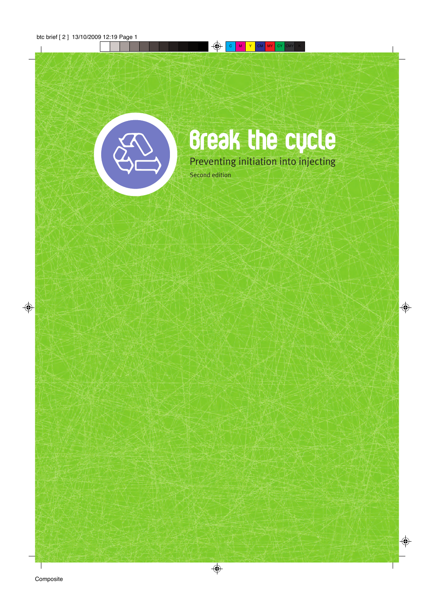

# **Break the cycle** Preventing initiation into injecting

Second edition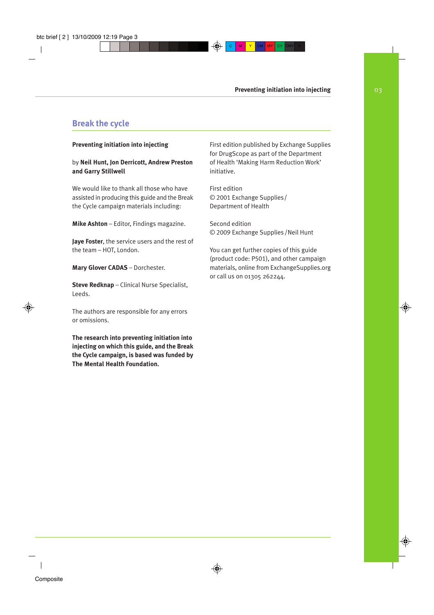# **Break the cycle**

#### **Preventing initiation into injecting**

#### by **Neil Hunt, Jon Derricott, Andrew Preston and Garry Stillwell**

We would like to thank all those who have assisted in producing this guide and the Break the Cycle campaign materials including:

**Mike Ashton** – Editor, Findings magazine.

**Jaye Foster**, the service users and the rest of the team – HOT, London.

**Mary Glover CADAS** – Dorchester.

**Steve Redknap** – Clinical Nurse Specialist, Leeds.

The authors are responsible for any errors or omissions.

**The research into preventing initiation into injecting on which this guide, and the Break the Cycle campaign, is based was funded by The Mental Health Foundation.**

First edition published by Exchange Supplies for DrugScope as part of the Department of Health 'Making Harm Reduction Work' initiative.

First edition © 2001 Exchange Supplies / Department of Health

Second edition © 2009 Exchange Supplies /Neil Hunt

You can get further copies of this guide (product code: P501), and other campaign materials, online from ExchangeSupplies.org or call us on 01305 262244.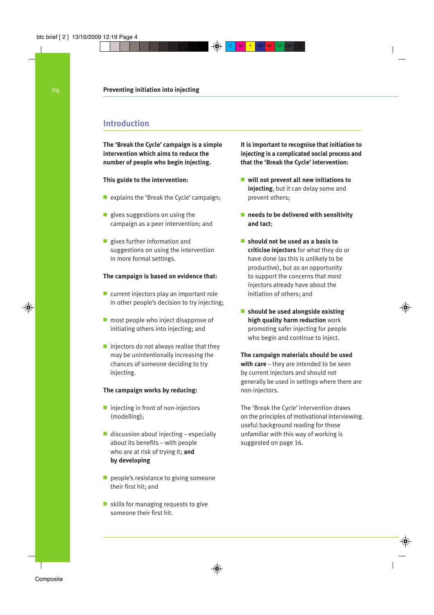# **Introduction**

**The 'Break the Cycle' campaign is a simple intervention which aims to reduce the number of people who begin injecting.**

#### **This guide to the intervention:**

- explains the 'Break the Cycle' campaign;
- gives suggestions on using the campaign as a peer intervention; and
- gives further information and suggestions on using the intervention in more formal settings.

#### **The campaign is based on evidence that:**

- current injectors play an important role in other people's decision to try injecting;
- most people who inject disapprove of initiating others into injecting; and
- $\blacksquare$  injectors do not always realise that they may be unintentionally increasing the chances of someone deciding to try injecting.

#### **The campaign works by reducing:**

- injecting in front of non-injectors (modelling);
- discussion about injecting especially about its benefits – with people who are at risk of trying it; **and by developing**
- people's resistance to giving someone their first hit; and
- skills for managing requests to give someone their first hit.

**It is important to recognise that initiation to injecting is a complicated social process and that the 'Break the Cycle' intervention:**

- **will not prevent all new initiations to injecting**, but it can delay some and prevent others;
- **needs to be delivered with sensitivity and tact**;
- **should not be used as a basis to criticise injectors** for what they do or have done (as this is unlikely to be productive), but as an opportunity to support the concerns that most injectors already have about the initiation of others; and
- **should be used alongside existing high quality harm reduction** work promoting safer injecting for people who begin and continue to inject.

**The campaign materials should be used with care** – they are intended to be seen by current injectors and should not generally be used in settings where there are non-injectors.

The 'Break the Cycle' intervention draws on the principles of motivational interviewing. useful background reading for those unfamiliar with this way of working is suggested on page 16.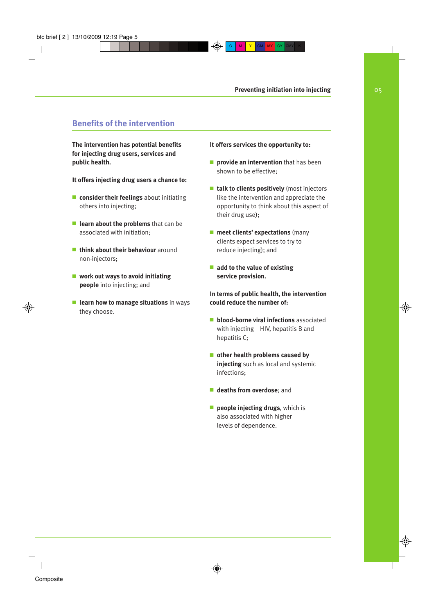# **Benefits of the intervention**

**The intervention has potential benefits for injecting drug users, services and public health.**

**It offers injecting drug users a chance to:**

- **consider their feelings** about initiating others into injecting;
- **learn about the problems** that can be associated with initiation;
- **think about their behaviour** around non-injectors;
- **work out ways to avoid initiating people** into injecting; and
- **learn how to manage situations** in ways they choose.

#### **It offers services the opportunity to:**

- **provide an intervention** that has been shown to be effective;
- **talk to clients positively** (most injectors like the intervention and appreciate the opportunity to think about this aspect of their drug use);
- **meet clients' expectations** (many clients expect services to try to reduce injecting); and
- **add to the value of existing service provision.**

**In terms of public health, the intervention could reduce the number of:**

- **blood-borne viral infections** associated with injecting – HIV, hepatitis B and hepatitis C;
- **other health problems caused by injecting** such as local and systemic infections;
- **deaths from overdose**; and
- **people injecting drugs**, which is also associated with higher levels of dependence.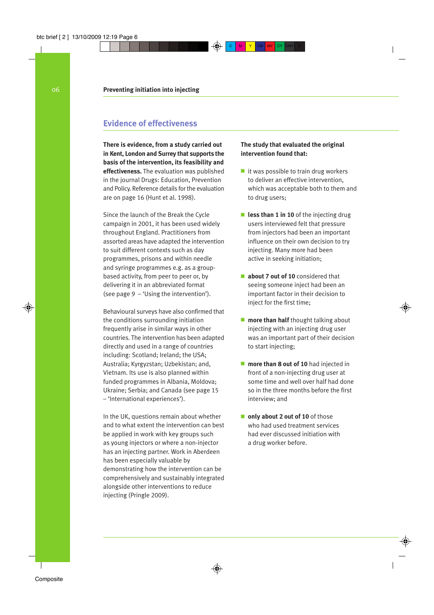# **Evidence of effectiveness**

**There is evidence, from a study carried out in Kent, London and Surrey that supports the basis of the intervention, its feasibility and effectiveness.** The evaluation was published in the journal Drugs: Education, Prevention and Policy. Reference details for the evaluation are on page 16 (Hunt et al. 1998).

Since the launch of the Break the Cycle campaign in 2001, it has been used widely throughout England. Practitioners from assorted areas have adapted the intervention to suit different contexts such as day programmes, prisons and within needle and syringe programmes e.g. as a groupbased activity, from peer to peer or, by delivering it in an abbreviated format (see page  $9 -$ 'Using the intervention').

Behavioural surveys have also confirmed that the conditions surrounding initiation frequently arise in similar ways in other countries. The intervention has been adapted directly and used in a range of countries including: Scotland; Ireland; the USA; Australia; Kyrgyzstan; Uzbekistan; and, Vietnam. Its use is also planned within funded programmes in Albania, Moldova; Ukraine; Serbia; and Canada (see page 15 – 'International experiences').

In the UK, questions remain about whether and to what extent the intervention can best be applied in work with key groups such as young injectors or where a non-injector has an injecting partner. Work in Aberdeen has been especially valuable by demonstrating how the intervention can be comprehensively and sustainably integrated alongside other interventions to reduce injecting (Pringle 2009).

#### **The study that evaluated the original intervention found that:**

- it was possible to train drug workers to deliver an effective intervention, which was acceptable both to them and to drug users;
- **less than 1 in 10** of the injecting drug users interviewed felt that pressure from injectors had been an important influence on their own decision to try injecting. Many more had been active in seeking initiation;
- **about 7 out of 10** considered that seeing someone inject had been an important factor in their decision to inject for the first time:
- **more than half** thought talking about injecting with an injecting drug user was an important part of their decision to start injecting;
- **more than 8 out of 10** had injected in front of a non-injecting drug user at some time and well over half had done so in the three months before the first interview; and
- **only about 2 out of 10** of those who had used treatment services had ever discussed initiation with a drug worker before.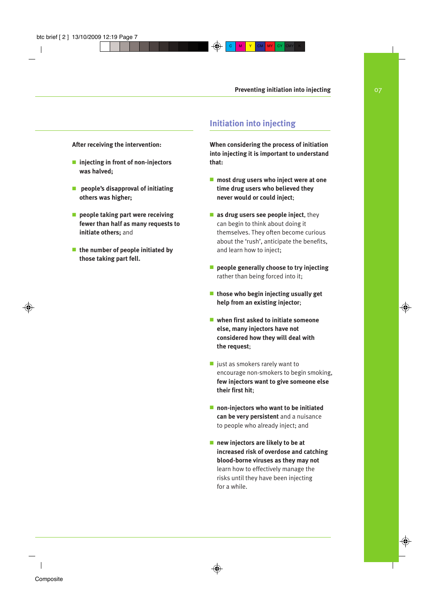**After receiving the intervention:**

- **injecting in front of non-injectors was halved;**
- ■ **people's disapproval of initiating others was higher;**
- **people taking part were receiving fewer than half as many requests to initiate others;** and
- **the number of people initiated by those taking part fell.**

# **Initiation into injecting**

**When considering the process of initiation into injecting it is important to understand that:**

- **most drug users who inject were at one time drug users who believed they never would or could inject**;
- **as drug users see people inject**, they can begin to think about doing it themselves. They often become curious about the 'rush', anticipate the benefits, and learn how to inject;
- **people generally choose to try injecting** rather than being forced into it;
- **those who begin injecting usually get help from an existing injector**;
- when first asked to initiate someone **else, many injectors have not considered how they will deal with the request**;
- just as smokers rarely want to encourage non-smokers to begin smoking, **few injectors want to give someone else their first hit**;
- **non-injectors who want to be initiated can be very persistent** and a nuisance to people who already inject; and
- **new injectors are likely to be at increased risk of overdose and catching blood-borne viruses as they may not** learn how to effectively manage the risks until they have been injecting for a while.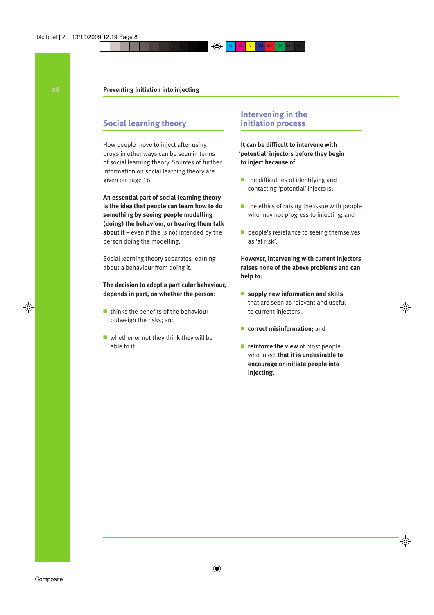# **Social learning theory**

How people move to inject after using drugs in other ways can be seen in terms of social learning theory. Sources of further information on social learning theory are given on page 16.

**An essential part of social learning theory is the idea that people can learn how to do something by seeing people modelling (doing) the behaviour, or hearing them talk about it** – even if this is not intended by the person doing the modelling.

Social learning theory separates learning about a behaviour from doing it.

#### **The decision to adopt a particular behaviour, depends in part, on whether the person:**

- thinks the benefits of the behaviour outweigh the risks; and
- whether or not they think they will be able to it.

# **Intervening in the initiation process**

**It can be difficult to intervene with 'potential' injectors before they begin to inject because of:**

- the difficulties of identifying and contacting 'potential' injectors;
- the ethics of raising the issue with people who may not progress to injecting; and
- people's resistance to seeing themselves as 'at risk'.

**However, intervening with current injectors raises none of the above problems and can help to:**

- **supply new information and skills** that are seen as relevant and useful to current injectors;
- **correct misinformation**; and
- **reinforce the view** of most people who inject **that it is undesirable to encourage or initiate people into injecting.**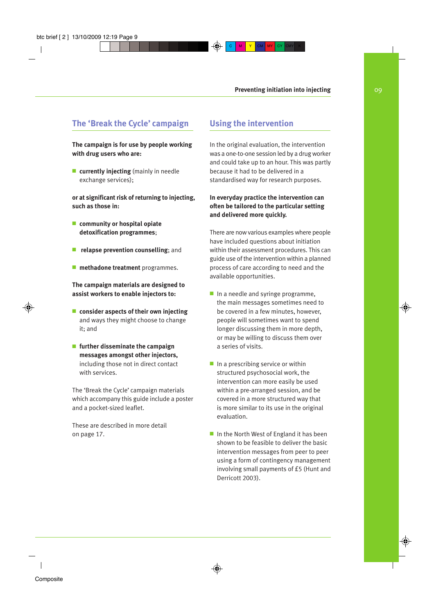# **The 'Break the Cycle' campaign**

**The campaign is for use by people working with drug users who are:**

■ **currently injecting** (mainly in needle exchange services);

**or at significant risk of returning to injecting, such as those in:**

- **community or hospital opiate detoxification programmes**;
- **relapse prevention counselling**; and
- **methadone treatment** programmes.

**The campaign materials are designed to assist workers to enable injectors to:**

- **consider aspects of their own injecting** and ways they might choose to change it; and
- **further disseminate the campaign messages amongst other injectors,** including those not in direct contact with services.

The 'Break the Cycle' campaign materials which accompany this guide include a poster and a pocket-sized leaflet.

These are described in more detail on page 17.

# **Using the intervention**

In the original evaluation, the intervention was a one-to-one session led by a drug worker and could take up to an hour. This was partly because it had to be delivered in a standardised way for research purposes.

### **In everyday practice the intervention can often be tailored to the particular setting and delivered more quickly.**

There are now various examples where people have included questions about initiation within their assessment procedures. This can guide use of the intervention within a planned process of care according to need and the available opportunities.

- In a needle and syringe programme, the main messages sometimes need to be covered in a few minutes, however, people will sometimes want to spend longer discussing them in more depth, or may be willing to discuss them over a series of visits.
- In a prescribing service or within structured psychosocial work, the intervention can more easily be used within a pre-arranged session, and be covered in a more structured way that is more similar to its use in the original evaluation.
- In the North West of England it has been shown to be feasible to deliver the basic intervention messages from peer to peer using a form of contingency management involving small payments of £5 (Hunt and Derricott 2003).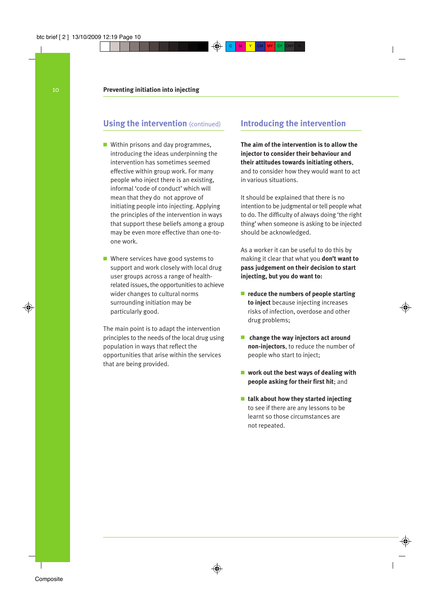**Using the intervention** (continued) **Introducing the intervention**

- Within prisons and day programmes, introducing the ideas underpinning the intervention has sometimes seemed effective within group work. For many people who inject there is an existing, informal 'code of conduct' which will mean that they do not approve of initiating people into injecting. Applying the principles of the intervention in ways that support these beliefs among a group may be even more effective than one-toone work.
- Where services have good systems to support and work closely with local drug user groups across a range of healthrelated issues, the opportunities to achieve wider changes to cultural norms surrounding initiation may be particularly good.

The main point is to adapt the intervention principles to the needs of the local drug using population in ways that reflect the opportunities that arise within the services that are being provided.

**The aim of the intervention is to allow the injector to consider their behaviour and their attitudes towards initiating others**, and to consider how they would want to act in various situations.

It should be explained that there is no intention to be judgmental or tell people what to do. The difficulty of always doing 'the right thing' when someone is asking to be injected should be acknowledged.

As a worker it can be useful to do this by making it clear that what you **don't want to pass judgement on their decision to start injecting, but you do want to:**

- *reduce the numbers of people starting* **to inject** because injecting increases risks of infection, overdose and other drug problems;
- **change the way injectors act around non-injectors**, to reduce the number of people who start to inject;
- **work out the best ways of dealing with people asking for their first hit**; and
- **talk about how they started injecting** to see if there are any lessons to be learnt so those circumstances are not repeated.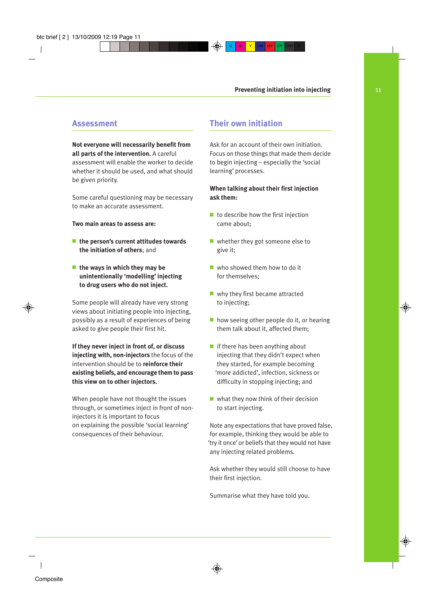# **Assessment**

#### **Not everyone will necessarily benefit from all parts of the intervention.** A careful

assessment will enable the worker to decide whether it should be used, and what should be given priority.

Some careful questioning may be necessary to make an accurate assessment.

#### **Two main areas to assess are:**

- **the person's current attitudes towards the initiation of others**; and
- **the ways in which they may be unintentionally 'modelling' injecting to drug users who do not inject.**

Some people will already have very strong views about initiating people into injecting, possibly as a result of experiences of being asked to give people their first hit.

**If they never inject in front of, or discuss injecting with, non-injectors** the focus of the intervention should be to **reinforce their existing beliefs, and encourage them to pass this view on to other injectors.**

When people have not thought the issues through, or sometimes inject in front of noninjectors it is important to focus on explaining the possible 'social learning' consequences of their behaviour.

# **Their own initiation**

Ask for an account of their own initiation. Focus on those things that made them decide to begin injecting – especially the 'social learning' processes.

#### **When talking about their first injection ask them:**

- to describe how the first injection came about;
- whether they got someone else to give it;
- who showed them how to do it for themselves;
- why they first became attracted to injecting;
- how seeing other people do it, or hearing them talk about it, affected them;
- if there has been anything about injecting that they didn't expect when they started, for example becoming 'more addicted', infection, sickness or difficulty in stopping injecting; and
- what they now think of their decision to start injecting.

Note any expectations that have proved false, for example, thinking they would be able to 'try it once' or beliefs that they would not have any injecting related problems.

Ask whether they would still choose to have their first injection.

Summarise what they have told you.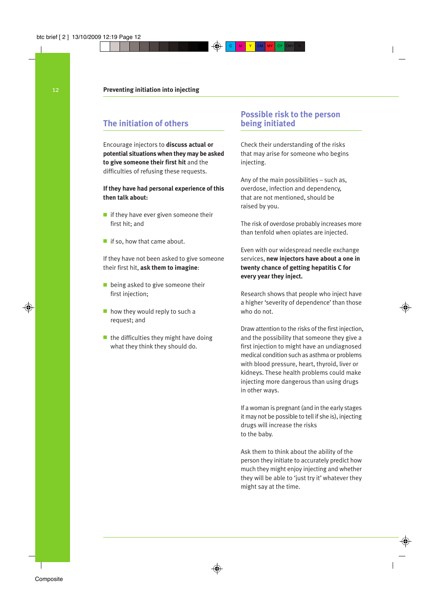# **The initiation of others**

Encourage injectors to **discuss actual or potential situations when they may be asked to give someone their first hit** and the difficulties of refusing these requests.

#### **If they have had personal experience of this then talk about:**

- if they have ever given someone their first hit; and
- if so, how that came about.

If they have not been asked to give someone their first hit, **ask them to imagine**:

- being asked to give someone their first injection;
- how they would reply to such a request; and
- the difficulties they might have doing what they think they should do.

# **Possible risk to the person being initiated**

Check their understanding of the risks that may arise for someone who begins injecting.

Any of the main possibilities – such as, overdose, infection and dependency, that are not mentioned, should be raised by you.

The risk of overdose probably increases more than tenfold when opiates are injected.

Even with our widespread needle exchange services, **new injectors have about a one in twenty chance of getting hepatitis C for every year they inject.**

Research shows that people who inject have a higher 'severity of dependence' than those who do not.

Draw attention to the risks of the first injection, and the possibility that someone they give a first injection to might have an undiagnosed medical condition such as asthma or problems with blood pressure, heart, thyroid, liver or kidneys. These health problems could make injecting more dangerous than using drugs in other ways.

If a woman is pregnant (and in the early stages it may not be possible to tell if she is), injecting drugs will increase the risks to the baby.

Ask them to think about the ability of the person they initiate to accurately predict how much they might enjoy injecting and whether they will be able to 'just try it' whatever they might say at the time.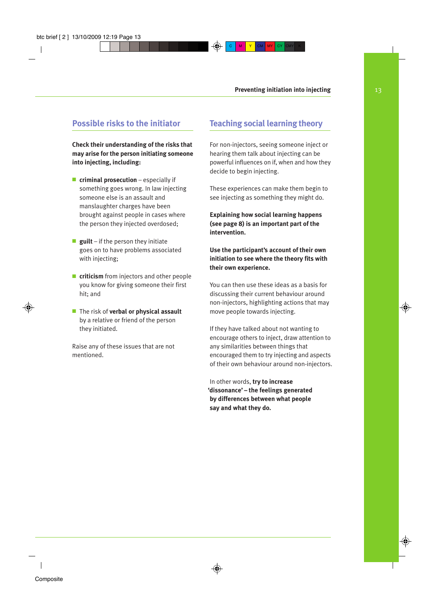# **Possible risks to the initiator**

**Check their understanding of the risks that may arise for the person initiating someone into injecting, including:**

- **criminal prosecution** especially if something goes wrong. In law injecting someone else is an assault and manslaughter charges have been brought against people in cases where the person they injected overdosed;
- **guilt** if the person they initiate goes on to have problems associated with injecting;
- **criticism** from injectors and other people you know for giving someone their first hit; and
- The risk of **verbal or physical assault** by a relative or friend of the person they initiated.

Raise any of these issues that are not mentioned.

# **Teaching social learning theory**

For non-injectors, seeing someone inject or hearing them talk about injecting can be powerful influences on if, when and how they decide to begin injecting.

These experiences can make them begin to see injecting as something they might do.

**Explaining how social learning happens (see page 8) is an important part of the intervention.**

#### **Use the participant's account of their own initiation to see where the theory fits with their own experience.**

You can then use these ideas as a basis for discussing their current behaviour around non-injectors, highlighting actions that may move people towards injecting.

If they have talked about not wanting to encourage others to inject, draw attention to any similarities between things that encouraged them to try injecting and aspects of their own behaviour around non-injectors.

In other words, **try to increase 'dissonance' – the feelings generated by differences between what people say and what they do.**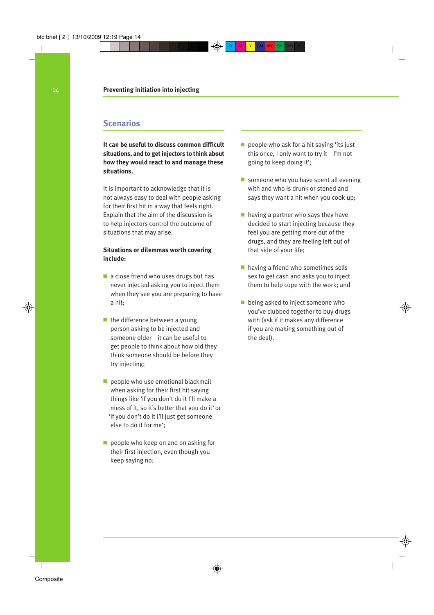# **Scenarios**

**It can be useful to discuss common difficult situations, and to get injectors to think about how they would react to and manage these situations.**

It is important to acknowledge that it is not always easy to deal with people asking for their first hit in a way that feels right. Explain that the aim of the discussion is to help injectors control the outcome of situations that may arise.

#### **Situations or dilemmas worth covering include:**

- a close friend who uses drugs but has never injected asking you to inject them when they see you are preparing to have a hit;
- the difference between a young person asking to be injected and someone older – it can be useful to get people to think about how old they think someone should be before they try injecting;
- people who use emotional blackmail when asking for their first hit saying things like 'if you don't do it I'll make a mess of it, so it's better that you do it' or 'if you don't do it I'll just get someone else to do it for me';
- people who keep on and on asking for their first injection, even though you keep saying no;
- people who ask for a hit saying 'its just this once, I only want to try it – I'm not going to keep doing it';
- someone who you have spent all evening with and who is drunk or stoned and says they want a hit when you cook up;
- having a partner who says they have decided to start injecting because they feel you are getting more out of the drugs, and they are feeling left out of that side of your life;
- having a friend who sometimes sells sex to get cash and asks you to inject them to help cope with the work; and
- being asked to inject someone who you've clubbed together to buy drugs with (ask if it makes any difference if you are making something out of the deal).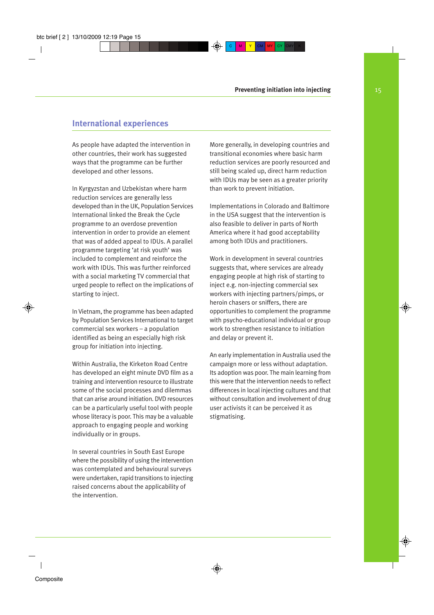# **International experiences**

As people have adapted the intervention in other countries, their work has suggested ways that the programme can be further developed and other lessons.

In Kyrgyzstan and Uzbekistan where harm reduction services are generally less developed than in the UK, Population Services International linked the Break the Cycle programme to an overdose prevention intervention in order to provide an element that was of added appeal to IDUs. A parallel programme targeting 'at risk youth' was included to complement and reinforce the work with IDUs. This was further reinforced with a social marketing TV commercial that urged people to reflect on the implications of starting to inject.

In Vietnam, the programme has been adapted by Population Services International to target commercial sex workers – a population identified as being an especially high risk group for initiation into injecting.

Within Australia, the Kirketon Road Centre has developed an eight minute DVD film as a training and intervention resource to illustrate some of the social processes and dilemmas that can arise around initiation. DVD resources can be a particularly useful tool with people whose literacy is poor. This may be a valuable approach to engaging people and working individually or in groups.

In several countries in South East Europe where the possibility of using the intervention was contemplated and behavioural surveys were undertaken, rapid transitions to injecting raised concerns about the applicability of the intervention.

More generally, in developing countries and transitional economies where basic harm reduction services are poorly resourced and still being scaled up, direct harm reduction with IDUs may be seen as a greater priority than work to prevent initiation.

Implementations in Colorado and Baltimore in the USA suggest that the intervention is also feasible to deliver in parts of North America where it had good acceptability among both IDUs and practitioners.

Work in development in several countries suggests that, where services are already engaging people at high risk of starting to inject e.g. non-injecting commercial sex workers with injecting partners/pimps, or heroin chasers or sniffers, there are opportunities to complement the programme with psycho-educational individual or group work to strengthen resistance to initiation and delay or prevent it.

An early implementation in Australia used the campaign more or less without adaptation. Its adoption was poor. The main learning from this were that the intervention needs to reflect differences in local injecting cultures and that without consultation and involvement of drug user activists it can be perceived it as stigmatising.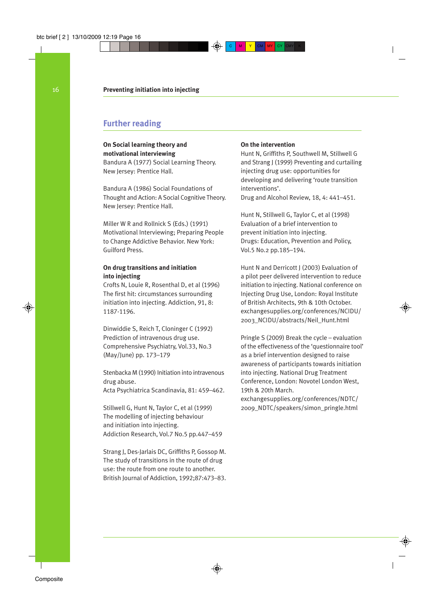# **Further reading**

#### **On Social learning theory and motivational interviewing**

Bandura A (1977) Social Learning Theory. New Jersey: Prentice Hall.

Bandura A (1986) Social Foundations of Thought and Action: A Social Cognitive Theory. New Jersey: Prentice Hall.

Miller W R and Rollnick S (Eds.) (1991) Motivational Interviewing; Preparing People to Change Addictive Behavior. New York: Guilford Press.

#### **On drug transitions and initiation into injecting**

Crofts N, Louie R, Rosenthal D, et al (1996) The first hit: circumstances surrounding initiation into injecting. Addiction, 91, 8: 1187-1196.

Dinwiddie S, Reich T, Cloninger C (1992) Prediction of intravenous drug use. Comprehensive Psychiatry, Vol.33, No.3 (May/June) pp. 173–179

Stenbacka M (1990) Initiation into intravenous drug abuse.

Acta Psychiatrica Scandinavia, 81: 459–462.

Stillwell G, Hunt N, Taylor C, et al (1999) The modelling of injecting behaviour and initiation into injecting. Addiction Research, Vol.7 No.5 pp.447–459

Strang J, Des-Jarlais DC, Griffiths P, Gossop M. The study of transitions in the route of drug use: the route from one route to another. British Journal of Addiction, 1992;87:473–83.

#### **On the intervention**

Hunt N, Griffiths P, Southwell M, Stillwell G and Strang J (1999) Preventing and curtailing injecting drug use: opportunities for developing and delivering 'route transition interventions'.

Drug and Alcohol Review, 18, 4: 441–451.

Hunt N, Stillwell G, Taylor C, et al (1998) Evaluation of a brief intervention to prevent initiation into injecting. Drugs: Education, Prevention and Policy, Vol.5 No.2 pp.185–194.

Hunt N and Derricott J (2003) Evaluation of a pilot peer delivered intervention to reduce initiation to injecting. National conference on Injecting Drug Use, London: Royal Institute of British Architects, 9th & 10th October. exchangesupplies.org/conferences/NCIDU/ 2003\_NCIDU/abstracts/Neil\_Hunt.html

Pringle S (2009) Break the cycle – evaluation of the effectiveness of the 'questionnaire tool' as a brief intervention designed to raise awareness of participants towards initiation into injecting. National Drug Treatment Conference, London: Novotel London West, 19th & 20th March.

exchangesupplies.org/conferences/NDTC/ 2009\_NDTC/speakers/simon\_pringle.html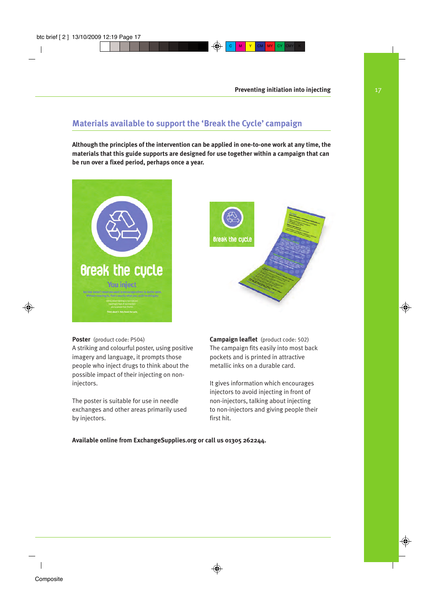# **Materials available to support the 'Break the Cycle' campaign**

**Although the principles of the intervention can be applied in one-to-one work at any time, the materials that this guide supports are designed for use together within a campaign that can be run over a fixed period, perhaps once a year.**





**Poster** (product code: P504)

A striking and colourful poster, using positive imagery and language, it prompts those people who inject drugs to think about the possible impact of their injecting on noninjectors.

The poster is suitable for use in needle exchanges and other areas primarily used by injectors.

**Campaign leaflet** (product code: 502) The campaign fits easily into most back pockets and is printed in attractive metallic inks on a durable card.

It gives information which encourages injectors to avoid injecting in front of non-injectors, talking about injecting to non-injectors and giving people their first hit.

**Available online from ExchangeSupplies.org or call us 01305 262244.**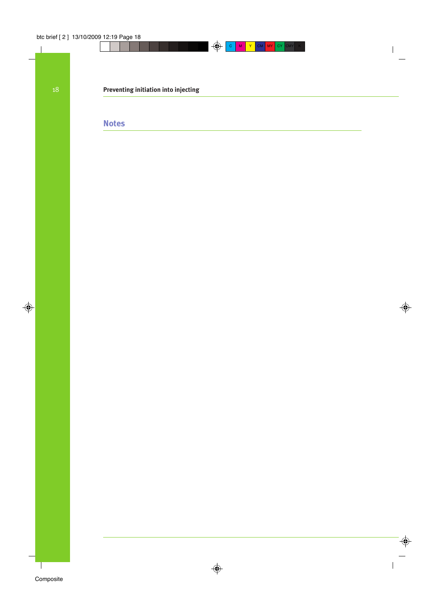# **Preventing initiation into injecting**

# **Notes**